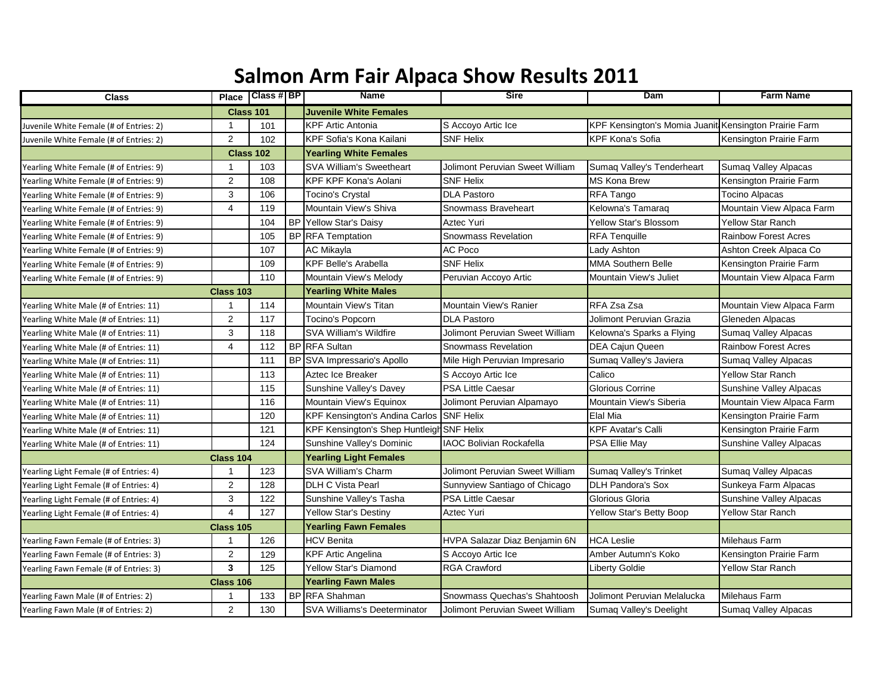## **Salmon Arm Fair Alpaca Show Results 2011**

| <b>Class</b>                            | <b>Place</b>            | Class #  BP | Name                                      | <b>Sire</b>                     | Dam                                                   | <b>Farm Name</b>               |
|-----------------------------------------|-------------------------|-------------|-------------------------------------------|---------------------------------|-------------------------------------------------------|--------------------------------|
|                                         | <b>Class 101</b>        |             | <b>Juvenile White Females</b>             |                                 |                                                       |                                |
| Juvenile White Female (# of Entries: 2) | $\mathbf 1$             | 101         | <b>KPF Artic Antonia</b>                  | S Accoyo Artic Ice              | KPF Kensington's Momia Juanit Kensington Prairie Farm |                                |
| Juvenile White Female (# of Entries: 2) | $\overline{2}$          | 102         | KPF Sofia's Kona Kailani                  | <b>SNF Helix</b>                | <b>KPF Kona's Sofia</b>                               | Kensington Prairie Farm        |
|                                         | <b>Class 102</b>        |             | <b>Yearling White Females</b>             |                                 |                                                       |                                |
| Yearling White Female (# of Entries: 9) | -1                      | 103         | <b>SVA William's Sweetheart</b>           | Jolimont Peruvian Sweet William | Sumaq Valley's Tenderheart                            | <b>Sumaq Valley Alpacas</b>    |
| Yearling White Female (# of Entries: 9) | $\overline{2}$          | 108         | <b>KPF KPF Kona's Aolani</b>              | <b>SNF Helix</b>                | <b>MS Kona Brew</b>                                   | Kensington Prairie Farm        |
| Yearling White Female (# of Entries: 9) | 3                       | 106         | Tocino's Crystal                          | <b>DLA Pastoro</b>              | RFA Tango                                             | <b>Tocino Alpacas</b>          |
| Yearling White Female (# of Entries: 9) | $\overline{4}$          | 119         | Mountain View's Shiva                     | Snowmass Braveheart             | Kelowna's Tamaraq                                     | Mountain View Alpaca Farm      |
| Yearling White Female (# of Entries: 9) |                         | 104         | <b>BP</b> Yellow Star's Daisy             | Aztec Yuri                      | Yellow Star's Blossom                                 | <b>Yellow Star Ranch</b>       |
| Yearling White Female (# of Entries: 9) |                         | 105         | <b>BP</b> RFA Temptation                  | <b>Snowmass Revelation</b>      | <b>RFA Tenquille</b>                                  | <b>Rainbow Forest Acres</b>    |
| Yearling White Female (# of Entries: 9) |                         | 107         | AC Mikayla                                | <b>AC Poco</b>                  | Lady Ashton                                           | Ashton Creek Alpaca Co         |
| Yearling White Female (# of Entries: 9) |                         | 109         | <b>KPF Belle's Arabella</b>               | <b>SNF Helix</b>                | <b>MMA Southern Belle</b>                             | Kensington Prairie Farm        |
| Yearling White Female (# of Entries: 9) |                         | 110         | Mountain View's Melody                    | Peruvian Accoyo Artic           | Mountain View's Juliet                                | Mountain View Alpaca Farm      |
|                                         | <b>Class 103</b>        |             | <b>Yearling White Males</b>               |                                 |                                                       |                                |
| Yearling White Male (# of Entries: 11)  |                         | 114         | Mountain View's Titan                     | Mountain View's Ranier          | RFA Zsa Zsa                                           | Mountain View Alpaca Farm      |
| Yearling White Male (# of Entries: 11)  | $\overline{2}$          | 117         | <b>Tocino's Popcorn</b>                   | <b>DLA Pastoro</b>              | Jolimont Peruvian Grazia                              | Gleneden Alpacas               |
| Yearling White Male (# of Entries: 11)  | 3                       | 118         | SVA William's Wildfire                    | Jolimont Peruvian Sweet William | Kelowna's Sparks a Flying                             | Sumaq Valley Alpacas           |
| Yearling White Male (# of Entries: 11)  | $\overline{4}$          | 112         | <b>BP</b> RFA Sultan                      | <b>Snowmass Revelation</b>      | <b>DEA Cajun Queen</b>                                | <b>Rainbow Forest Acres</b>    |
| Yearling White Male (# of Entries: 11)  |                         | 111         | BP SVA Impressario's Apollo               | Mile High Peruvian Impresario   | Sumaq Valley's Javiera                                | Sumaq Valley Alpacas           |
| Yearling White Male (# of Entries: 11)  |                         | 113         | Aztec Ice Breaker                         | S Accoyo Artic Ice              | Calico                                                | <b>Yellow Star Ranch</b>       |
| Yearling White Male (# of Entries: 11)  |                         | 115         | Sunshine Valley's Davey                   | PSA Little Caesar               | Glorious Corrine                                      | Sunshine Valley Alpacas        |
| Yearling White Male (# of Entries: 11)  |                         | 116         | Mountain View's Equinox                   | Jolimont Peruvian Alpamayo      | Mountain View's Siberia                               | Mountain View Alpaca Farm      |
| Yearling White Male (# of Entries: 11)  |                         | 120         | KPF Kensington's Andina Carlos SNF Helix  |                                 | Elal Mia                                              | Kensington Prairie Farm        |
| Yearling White Male (# of Entries: 11)  |                         | 121         | KPF Kensington's Shep Huntleigh SNF Helix |                                 | <b>KPF Avatar's Calli</b>                             | Kensington Prairie Farm        |
| Yearling White Male (# of Entries: 11)  |                         | 124         | Sunshine Valley's Dominic                 | <b>IAOC Bolivian Rockafella</b> | PSA Ellie May                                         | Sunshine Valley Alpacas        |
|                                         | Class 104               |             | <b>Yearling Light Females</b>             |                                 |                                                       |                                |
| Yearling Light Female (# of Entries: 4) |                         | 123         | SVA William's Charm                       | Jolimont Peruvian Sweet William | Sumaq Valley's Trinket                                | Sumaq Valley Alpacas           |
| Yearling Light Female (# of Entries: 4) | 2                       | 128         | DLH C Vista Pearl                         | Sunnyview Santiago of Chicago   | <b>DLH Pandora's Sox</b>                              | Sunkeya Farm Alpacas           |
| Yearling Light Female (# of Entries: 4) | 3                       | 122         | Sunshine Valley's Tasha                   | <b>PSA Little Caesar</b>        | Glorious Gloria                                       | <b>Sunshine Valley Alpacas</b> |
| Yearling Light Female (# of Entries: 4) | $\overline{4}$          | 127         | Yellow Star's Destiny                     | Aztec Yuri                      | Yellow Star's Betty Boop                              | Yellow Star Ranch              |
|                                         | <b>Class 105</b>        |             | <b>Yearling Fawn Females</b>              |                                 |                                                       |                                |
| Yearling Fawn Female (# of Entries: 3)  |                         | 126         | <b>HCV Benita</b>                         | HVPA Salazar Diaz Benjamin 6N   | <b>HCA Leslie</b>                                     | Milehaus Farm                  |
| Yearling Fawn Female (# of Entries: 3)  | $\overline{2}$          | 129         | <b>KPF Artic Angelina</b>                 | S Accoyo Artic Ice              | Amber Autumn's Koko                                   | Kensington Prairie Farm        |
| Yearling Fawn Female (# of Entries: 3)  | $\overline{\mathbf{3}}$ | 125         | <b>Yellow Star's Diamond</b>              | <b>RGA Crawford</b>             | <b>Liberty Goldie</b>                                 | <b>Yellow Star Ranch</b>       |
|                                         | Class 106               |             | <b>Yearling Fawn Males</b>                |                                 |                                                       |                                |
| Yearling Fawn Male (# of Entries: 2)    |                         | 133         | <b>BP</b> RFA Shahman                     | Snowmass Quechas's Shahtoosh    | Jolimont Peruvian Melalucka                           | <b>Milehaus Farm</b>           |
| Yearling Fawn Male (# of Entries: 2)    | $\overline{2}$          | 130         | <b>SVA Williams's Deeterminator</b>       | Jolimont Peruvian Sweet William | Sumaq Valley's Deelight                               | Sumaq Valley Alpacas           |